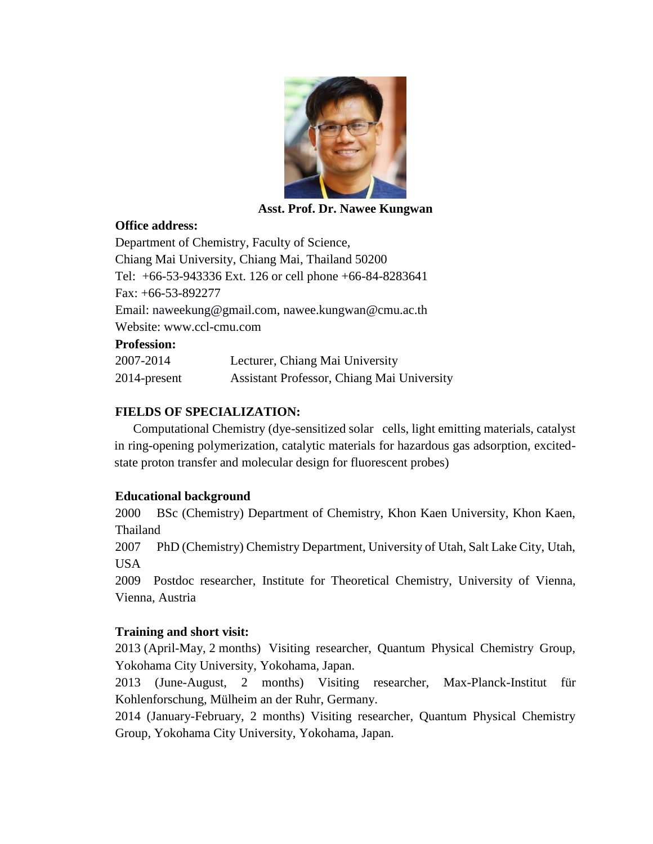

**Asst. Prof. Dr. Nawee Kungwan**

## **Office address:**

Department of Chemistry, Faculty of Science, Chiang Mai University, Chiang Mai, Thailand 50200 Tel: +66-53-943336 Ext. 126 or cell phone +66-84-8283641 Fax: +66-53-892277 Email: [naweekung@gmail.com,](mailto:naweekung@gmail.com) nawee.kungwan@cmu.ac.th Website: www.ccl-cmu.com **Profession:**

| 2007-2014       | Lecturer, Chiang Mai University            |
|-----------------|--------------------------------------------|
| $2014$ -present | Assistant Professor, Chiang Mai University |

# **FIELDS OF SPECIALIZATION:**

Computational Chemistry (dye-sensitized solar cells, light emitting materials, catalyst in ring-opening polymerization, catalytic materials for hazardous gas adsorption, excitedstate proton transfer and molecular design for fluorescent probes)

## **Educational background**

2000 BSc (Chemistry) Department of Chemistry, Khon Kaen University, Khon Kaen, Thailand

2007 PhD (Chemistry) Chemistry Department, University of Utah, Salt Lake City, Utah, USA

2009 Postdoc researcher, Institute for Theoretical Chemistry, University of Vienna, Vienna, Austria

## **Training and short visit:**

2013 (April-May, 2 months) Visiting researcher, Quantum Physical Chemistry Group, Yokohama City University, Yokohama, Japan.

2013 (June-August, 2 months) Visiting researcher, [Max-Planck-Institut für](http://www.kofo.mpg.de/)  [Kohlenforschung,](http://www.kofo.mpg.de/) Mülheim an der Ruhr, Germany.

2014 (January-February, 2 months) Visiting researcher, Quantum Physical Chemistry Group, Yokohama City University, Yokohama, Japan.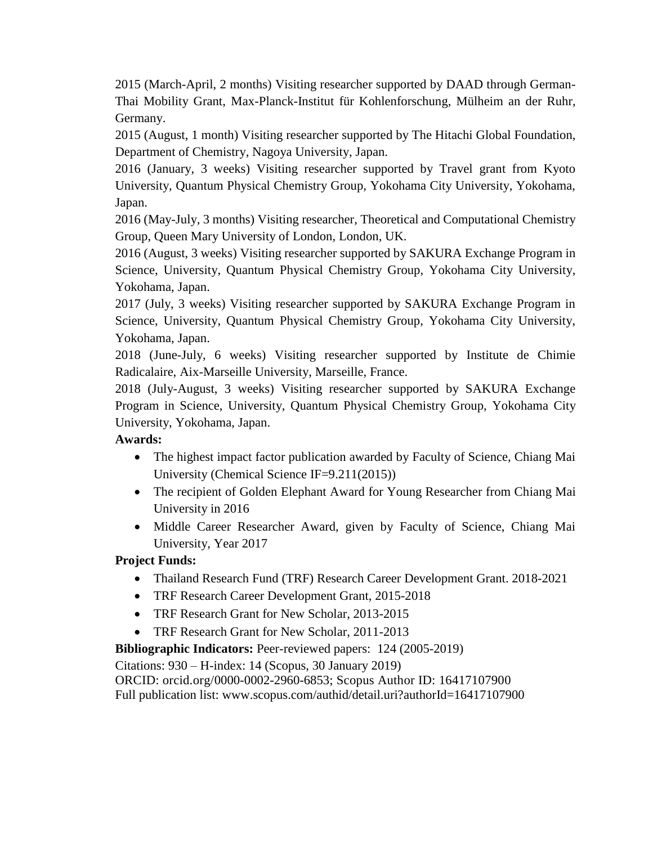2015 (March-April, 2 months) Visiting researcher supported by DAAD through German-Thai Mobility Grant, [Max-Planck-Institut für Kohlenforschung,](http://www.kofo.mpg.de/) Mülheim an der Ruhr, Germany.

2015 (August, 1 month) Visiting researcher supported by The Hitachi Global Foundation, Department of Chemistry, Nagoya University, Japan.

2016 (January, 3 weeks) Visiting researcher supported by Travel grant from Kyoto University, Quantum Physical Chemistry Group, Yokohama City University, Yokohama, Japan.

2016 (May-July, 3 months) Visiting researcher, Theoretical and Computational Chemistry Group, Queen Mary University of London, London, UK.

2016 (August, 3 weeks) Visiting researcher supported by SAKURA Exchange Program in Science, University, Quantum Physical Chemistry Group, Yokohama City University, Yokohama, Japan.

2017 (July, 3 weeks) Visiting researcher supported by SAKURA Exchange Program in Science, University, Quantum Physical Chemistry Group, Yokohama City University, Yokohama, Japan.

2018 (June-July, 6 weeks) Visiting researcher supported by Institute de Chimie Radicalaire, Aix-Marseille University, Marseille, France.

2018 (July-August, 3 weeks) Visiting researcher supported by SAKURA Exchange Program in Science, University, Quantum Physical Chemistry Group, Yokohama City University, Yokohama, Japan.

# **Awards:**

- The highest impact factor publication awarded by Faculty of Science, Chiang Mai University (Chemical Science IF=9.211(2015))
- The recipient of Golden Elephant Award for Young Researcher from Chiang Mai University in 2016
- Middle Career Researcher Award, given by Faculty of Science, Chiang Mai University, Year 2017

## **Project Funds:**

- Thailand Research Fund (TRF) Research Career Development Grant. 2018-2021
- TRF Research Career Development Grant, 2015-2018
- TRF Research Grant for New Scholar, 2013-2015
- TRF Research Grant for New Scholar, 2011-2013

**Bibliographic Indicators:** Peer-reviewed papers: 124 (2005-2019)

Citations: 930 – H-index: 14 (Scopus, 30 January 2019)

ORCID: orcid.org/0000-0002-2960-6853; Scopus Author ID: 16417107900

Full publication list: www.scopus.com/authid/detail.uri?authorId=16417107900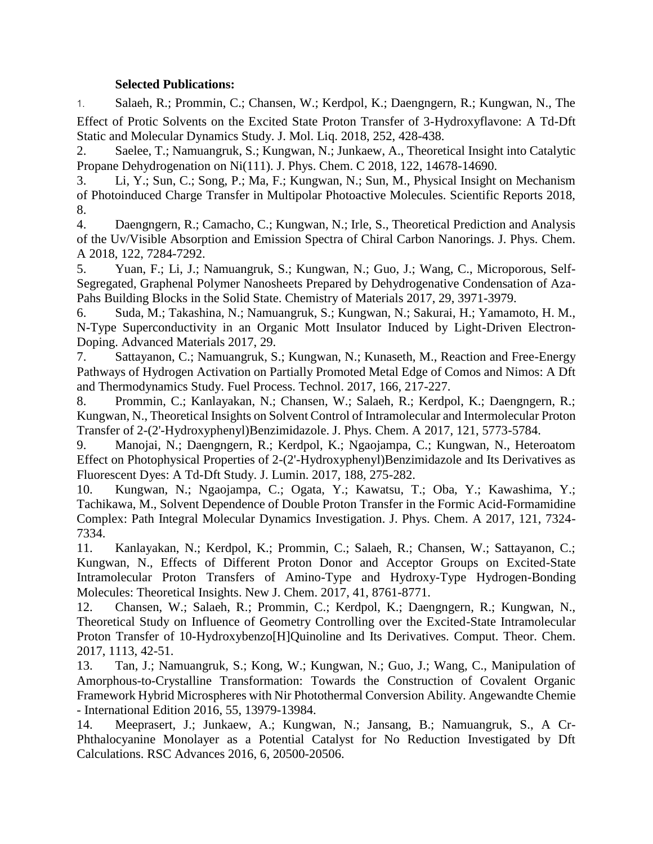#### **Selected Publications:**

1. Salaeh, R.; Prommin, C.; Chansen, W.; Kerdpol, K.; Daengngern, R.; Kungwan, N., The Effect of Protic Solvents on the Excited State Proton Transfer of 3-Hydroxyflavone: A Td-Dft Static and Molecular Dynamics Study. J. Mol. Liq. 2018, 252, 428-438.

2. Saelee, T.; Namuangruk, S.; Kungwan, N.; Junkaew, A., Theoretical Insight into Catalytic Propane Dehydrogenation on Ni(111). J. Phys. Chem. C 2018, 122, 14678-14690.

3. Li, Y.; Sun, C.; Song, P.; Ma, F.; Kungwan, N.; Sun, M., Physical Insight on Mechanism of Photoinduced Charge Transfer in Multipolar Photoactive Molecules. Scientific Reports 2018, 8.

4. Daengngern, R.; Camacho, C.; Kungwan, N.; Irle, S., Theoretical Prediction and Analysis of the Uv/Visible Absorption and Emission Spectra of Chiral Carbon Nanorings. J. Phys. Chem. A 2018, 122, 7284-7292.

5. Yuan, F.; Li, J.; Namuangruk, S.; Kungwan, N.; Guo, J.; Wang, C., Microporous, Self-Segregated, Graphenal Polymer Nanosheets Prepared by Dehydrogenative Condensation of Aza-Pahs Building Blocks in the Solid State. Chemistry of Materials 2017, 29, 3971-3979.

6. Suda, M.; Takashina, N.; Namuangruk, S.; Kungwan, N.; Sakurai, H.; Yamamoto, H. M., N-Type Superconductivity in an Organic Mott Insulator Induced by Light-Driven Electron-Doping. Advanced Materials 2017, 29.

7. Sattayanon, C.; Namuangruk, S.; Kungwan, N.; Kunaseth, M., Reaction and Free-Energy Pathways of Hydrogen Activation on Partially Promoted Metal Edge of Comos and Nimos: A Dft and Thermodynamics Study. Fuel Process. Technol. 2017, 166, 217-227.

8. Prommin, C.; Kanlayakan, N.; Chansen, W.; Salaeh, R.; Kerdpol, K.; Daengngern, R.; Kungwan, N., Theoretical Insights on Solvent Control of Intramolecular and Intermolecular Proton Transfer of 2-(2'-Hydroxyphenyl)Benzimidazole. J. Phys. Chem. A 2017, 121, 5773-5784.

9. Manojai, N.; Daengngern, R.; Kerdpol, K.; Ngaojampa, C.; Kungwan, N., Heteroatom Effect on Photophysical Properties of 2-(2'-Hydroxyphenyl)Benzimidazole and Its Derivatives as Fluorescent Dyes: A Td-Dft Study. J. Lumin. 2017, 188, 275-282.

10. Kungwan, N.; Ngaojampa, C.; Ogata, Y.; Kawatsu, T.; Oba, Y.; Kawashima, Y.; Tachikawa, M., Solvent Dependence of Double Proton Transfer in the Formic Acid-Formamidine Complex: Path Integral Molecular Dynamics Investigation. J. Phys. Chem. A 2017, 121, 7324- 7334.

11. Kanlayakan, N.; Kerdpol, K.; Prommin, C.; Salaeh, R.; Chansen, W.; Sattayanon, C.; Kungwan, N., Effects of Different Proton Donor and Acceptor Groups on Excited-State Intramolecular Proton Transfers of Amino-Type and Hydroxy-Type Hydrogen-Bonding Molecules: Theoretical Insights. New J. Chem. 2017, 41, 8761-8771.

12. Chansen, W.; Salaeh, R.; Prommin, C.; Kerdpol, K.; Daengngern, R.; Kungwan, N., Theoretical Study on Influence of Geometry Controlling over the Excited-State Intramolecular Proton Transfer of 10-Hydroxybenzo[H]Quinoline and Its Derivatives. Comput. Theor. Chem. 2017, 1113, 42-51.

13. Tan, J.; Namuangruk, S.; Kong, W.; Kungwan, N.; Guo, J.; Wang, C., Manipulation of Amorphous-to-Crystalline Transformation: Towards the Construction of Covalent Organic Framework Hybrid Microspheres with Nir Photothermal Conversion Ability. Angewandte Chemie - International Edition 2016, 55, 13979-13984.

14. Meeprasert, J.; Junkaew, A.; Kungwan, N.; Jansang, B.; Namuangruk, S., A Cr-Phthalocyanine Monolayer as a Potential Catalyst for No Reduction Investigated by Dft Calculations. RSC Advances 2016, 6, 20500-20506.